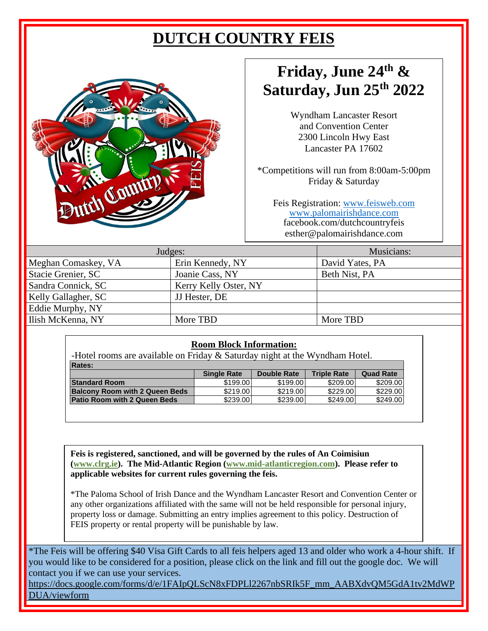# **DUTCH COUNTRY FEIS**



# **Friday, June 24 th & Saturday, Jun 25 th 2022**

Wyndham Lancaster Resort and Convention Center 2300 Lincoln Hwy East Lancaster PA 17602

\*Competitions will run from 8:00am-5:00pm Friday & Saturday

Feis Registration: [www.feisweb.com](http://www.feisweb.com/) [www.palomairishdance.com](http://www.palomairishdance.com/) facebook.com/dutchcountryfeis esther@palomairishdance.com

| Judges:             | Musicians:            |                 |
|---------------------|-----------------------|-----------------|
| Meghan Comaskey, VA | Erin Kennedy, NY      | David Yates, PA |
| Stacie Grenier, SC  | Joanie Cass, NY       | Beth Nist, PA   |
| Sandra Connick, SC  | Kerry Kelly Oster, NY |                 |
| Kelly Gallagher, SC | JJ Hester, DE         |                 |
| Eddie Murphy, NY    |                       |                 |
| Ilish McKenna, NY   | More TBD              | More TBD        |
|                     |                       |                 |

#### **Room Block Information:**

-Hotel rooms are available on Friday & Saturday night at the Wyndham Hotel.

| <b>Rates:</b>                         |                    |             |                    |                  |
|---------------------------------------|--------------------|-------------|--------------------|------------------|
|                                       | <b>Single Rate</b> | Double Rate | <b>Triple Rate</b> | <b>Quad Rate</b> |
| <b>Standard Room</b>                  | \$199.00           | \$199.00    | \$209.00           | \$209.00         |
| <b>Balcony Room with 2 Queen Beds</b> | \$219.00           | \$219.00    | \$229.00           | \$229.00         |
| Patio Room with 2 Queen Beds          | \$239.00           | \$239.00    | \$249.00           | \$249.00         |

**Feis is registered, sanctioned, and will be governed by the rules of An Coimisiun [\(www.clrg.ie\)](http://www.clrg.ie/). The Mid-Atlantic Region [\(www.mid-atlanticregion.com\)](http://www.mid-atlanticregion.com/). Please refer to applicable websites for current rules governing the feis.**

\*The Paloma School of Irish Dance and the Wyndham Lancaster Resort and Convention Center or any other organizations affiliated with the same will not be held responsible for personal injury, property loss or damage. Submitting an entry implies agreement to this policy. Destruction of FEIS property or rental property will be punishable by law.

\*The Feis will be offering \$40 Visa Gift Cards to all feis helpers aged 13 and older who work a 4-hour shift. If you would like to be considered for a position, please click on the link and fill out the google doc. We will contact you if we can use your services.

https://docs.google.com/forms/d/e/1FAIpQLScN8xFDPLl2267nbSRIk5F\_mm\_AABXdvQM5GdA1tv2MdWP DUA/viewform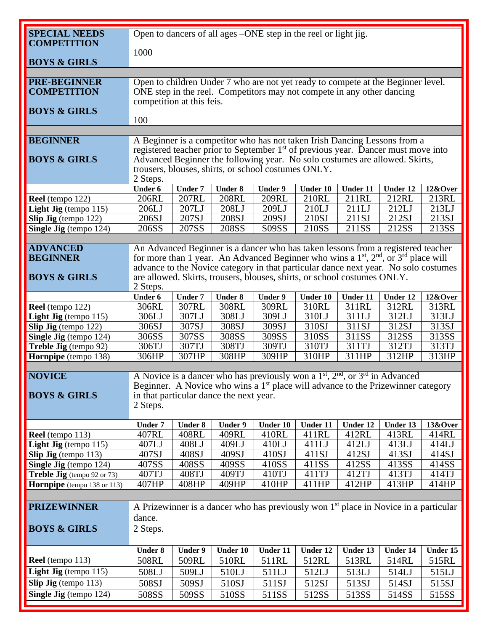| <b>SPECIAL NEEDS</b>               |                                                                                              | Open to dancers of all ages -ONE step in the reel or light jig.                    |                |                                                     |                 |                                                                                                                                                                              |                     |          |  |
|------------------------------------|----------------------------------------------------------------------------------------------|------------------------------------------------------------------------------------|----------------|-----------------------------------------------------|-----------------|------------------------------------------------------------------------------------------------------------------------------------------------------------------------------|---------------------|----------|--|
| <b>COMPETITION</b>                 |                                                                                              |                                                                                    |                |                                                     |                 |                                                                                                                                                                              |                     |          |  |
|                                    | 1000                                                                                         |                                                                                    |                |                                                     |                 |                                                                                                                                                                              |                     |          |  |
| <b>BOYS &amp; GIRLS</b>            |                                                                                              |                                                                                    |                |                                                     |                 |                                                                                                                                                                              |                     |          |  |
|                                    |                                                                                              |                                                                                    |                |                                                     |                 |                                                                                                                                                                              |                     |          |  |
| <b>PRE-BEGINNER</b>                |                                                                                              |                                                                                    |                |                                                     |                 | Open to children Under 7 who are not yet ready to compete at the Beginner level.                                                                                             |                     |          |  |
| <b>COMPETITION</b>                 |                                                                                              |                                                                                    |                |                                                     |                 | ONE step in the reel. Competitors may not compete in any other dancing                                                                                                       |                     |          |  |
|                                    |                                                                                              | competition at this feis.                                                          |                |                                                     |                 |                                                                                                                                                                              |                     |          |  |
| <b>BOYS &amp; GIRLS</b>            |                                                                                              |                                                                                    |                |                                                     |                 |                                                                                                                                                                              |                     |          |  |
|                                    | 100                                                                                          |                                                                                    |                |                                                     |                 |                                                                                                                                                                              |                     |          |  |
|                                    |                                                                                              |                                                                                    |                |                                                     |                 |                                                                                                                                                                              |                     |          |  |
| <b>BEGINNER</b>                    |                                                                                              |                                                                                    |                |                                                     |                 | A Beginner is a competitor who has not taken Irish Dancing Lessons from a                                                                                                    |                     |          |  |
| <b>BOYS &amp; GIRLS</b>            |                                                                                              |                                                                                    |                |                                                     |                 | registered teacher prior to September 1 <sup>st</sup> of previous year. Dancer must move into<br>Advanced Beginner the following year. No solo costumes are allowed. Skirts, |                     |          |  |
|                                    |                                                                                              |                                                                                    |                | trousers, blouses, shirts, or school costumes ONLY. |                 |                                                                                                                                                                              |                     |          |  |
|                                    | 2 Steps.                                                                                     |                                                                                    |                |                                                     |                 |                                                                                                                                                                              |                     |          |  |
|                                    | <b>Under 6</b>                                                                               | <b>Under 7</b>                                                                     | <b>Under 8</b> | Under 9                                             | <b>Under 10</b> | Under 11                                                                                                                                                                     | Under 12            | 12&Over  |  |
| Reel (tempo 122)                   | 206RL                                                                                        | 207RL                                                                              | <b>208RL</b>   | 209RL                                               | 210RL           | 211RL                                                                                                                                                                        | 212RL               | 213RL    |  |
| Light Jig (tempo 115)              | 206LJ                                                                                        | 207LJ                                                                              | 208LJ          | 209LJ                                               | 210LJ           | 211LJ                                                                                                                                                                        | 212LJ               | 213LJ    |  |
| Slip Jig (tempo 122)               | 206SJ                                                                                        | 207SJ                                                                              | 208SJ          | 209SJ                                               | 210SJ           | 211SJ                                                                                                                                                                        | 212SJ               | 213SJ    |  |
| Single Jig (tempo 124)             | 206SS                                                                                        | 207SS                                                                              | 208SS          | S09SS                                               | 210SS           | 211SS                                                                                                                                                                        | 212SS               | 213SS    |  |
|                                    |                                                                                              |                                                                                    |                |                                                     |                 |                                                                                                                                                                              |                     |          |  |
| <b>ADVANCED</b>                    |                                                                                              |                                                                                    |                |                                                     |                 | An Advanced Beginner is a dancer who has taken lessons from a registered teacher                                                                                             |                     |          |  |
| <b>BEGINNER</b>                    |                                                                                              |                                                                                    |                |                                                     |                 | for more than 1 year. An Advanced Beginner who wins a $1st$ , $2nd$ , or $3rd$ place will                                                                                    |                     |          |  |
|                                    |                                                                                              |                                                                                    |                |                                                     |                 | advance to the Novice category in that particular dance next year. No solo costumes                                                                                          |                     |          |  |
| <b>BOYS &amp; GIRLS</b>            |                                                                                              |                                                                                    |                |                                                     |                 | are allowed. Skirts, trousers, blouses, shirts, or school costumes ONLY.                                                                                                     |                     |          |  |
|                                    | 2 Steps.                                                                                     |                                                                                    |                |                                                     |                 |                                                                                                                                                                              |                     |          |  |
|                                    | <b>Under 6</b>                                                                               | <b>Under 7</b>                                                                     | <b>Under 8</b> | <b>Under 9</b>                                      | Under 10        | Under 11                                                                                                                                                                     | Under 12            | 12&Over  |  |
| Reel (tempo 122)                   | 306RL                                                                                        | 307RL                                                                              | 308RL          | 309RL                                               | 310RL           | 311RL                                                                                                                                                                        | 312RL               | 313RL    |  |
| <b>Light Jig</b> (tempo $115$ )    | 306LJ                                                                                        | 307LJ                                                                              | 308LJ          | 309LJ                                               | 310LJ           | 311LJ                                                                                                                                                                        | 312LJ               | 313LJ    |  |
| Slip Jig (tempo 122)               | 306SJ                                                                                        | 307SJ                                                                              | 308SJ          | 309SJ                                               | 310SJ           | 311SJ                                                                                                                                                                        | $\overline{312}$ SJ | 313SJ    |  |
| Single Jig (tempo 124)             | $\overline{306}$ SS                                                                          | 307SS                                                                              | 308SS          | 309SS                                               | 310SS           | 311SS                                                                                                                                                                        | 312SS               | 313SS    |  |
| Treble Jig (tempo 92)              | 306TJ                                                                                        | 307TJ                                                                              | 308TJ          | 309TJ                                               | 310TJ           | 311TJ                                                                                                                                                                        | 312TJ               | 313TJ    |  |
| Hornpipe (tempo 138)               |                                                                                              | 313HP<br>306HP<br>307HP<br>308HP<br>309HP<br>310HP<br>311HP<br>312HP               |                |                                                     |                 |                                                                                                                                                                              |                     |          |  |
| <b>NOVICE</b>                      |                                                                                              | A Novice is a dancer who has previously won a $1st$ , $2nd$ , or $3rd$ in Advanced |                |                                                     |                 |                                                                                                                                                                              |                     |          |  |
|                                    | Beginner. A Novice who wins a 1 <sup>st</sup> place will advance to the Prizewinner category |                                                                                    |                |                                                     |                 |                                                                                                                                                                              |                     |          |  |
| <b>BOYS &amp; GIRLS</b>            | in that particular dance the next year.                                                      |                                                                                    |                |                                                     |                 |                                                                                                                                                                              |                     |          |  |
|                                    | 2 Steps.                                                                                     |                                                                                    |                |                                                     |                 |                                                                                                                                                                              |                     |          |  |
|                                    |                                                                                              |                                                                                    |                |                                                     |                 |                                                                                                                                                                              |                     |          |  |
|                                    | <b>Under 7</b>                                                                               | <b>Under 8</b>                                                                     | <b>Under 9</b> | <b>Under 10</b>                                     | <b>Under 11</b> | Under 12                                                                                                                                                                     | <b>Under 13</b>     | 13&Over  |  |
| Reel (tempo 113)                   | 407RL                                                                                        | 408RL                                                                              | 409RL          | 410RL                                               | 411RL           | 412RL                                                                                                                                                                        | 413RL               | 414RL    |  |
| <b>Light Jig</b> (tempo $115$ )    | 407LJ                                                                                        | 408LJ                                                                              | 409LJ          | 410LJ                                               | 411LJ           | 412LJ                                                                                                                                                                        | 413LJ               | 414LJ    |  |
| Slip Jig (tempo $113$ )            | 407SJ                                                                                        | 408SJ                                                                              | 409SJ          | 410SJ                                               | 411SJ           | 412SJ                                                                                                                                                                        | 413SJ               | 414SJ    |  |
| Single Jig (tempo 124)             | 407SS                                                                                        | 408SS                                                                              | 409SS          | 410SS                                               | 411SS           | 412SS                                                                                                                                                                        | 413SS               | 414SS    |  |
| <b>Treble Jig</b> (tempo 92 or 73) | 407TJ                                                                                        | 408TJ                                                                              | 409TJ          | 410TJ                                               | 411TJ           | 412TJ                                                                                                                                                                        | 413TJ               | 414TJ    |  |
| <b>Hornpipe</b> (tempo 138 or 113) | 407HP                                                                                        | 408HP                                                                              | 409HP          | 410HP                                               | 411HP           | 412HP                                                                                                                                                                        | 413HP               | 414HP    |  |
|                                    |                                                                                              |                                                                                    |                |                                                     |                 |                                                                                                                                                                              |                     |          |  |
| <b>PRIZEWINNER</b>                 |                                                                                              |                                                                                    |                |                                                     |                 | A Prizewinner is a dancer who has previously won $1st$ place in Novice in a particular                                                                                       |                     |          |  |
|                                    | dance.                                                                                       |                                                                                    |                |                                                     |                 |                                                                                                                                                                              |                     |          |  |
| <b>BOYS &amp; GIRLS</b>            | 2 Steps.                                                                                     |                                                                                    |                |                                                     |                 |                                                                                                                                                                              |                     |          |  |
|                                    |                                                                                              |                                                                                    |                |                                                     |                 |                                                                                                                                                                              |                     |          |  |
|                                    | <b>Under 8</b>                                                                               | <b>Under 9</b>                                                                     | Under 10       | <b>Under 11</b>                                     | Under 12        | Under 13                                                                                                                                                                     | Under 14            | Under 15 |  |
| Reel (tempo 113)                   | 508RL                                                                                        | 509RL                                                                              | 510RL          | 511RL                                               | 512RL           | 513RL                                                                                                                                                                        | 514RL               | 515RL    |  |
| <b>Light Jig</b> (tempo $115$ )    | 508LJ                                                                                        | 509LJ                                                                              | 510LJ          | 511LJ                                               | 512LJ           | 513LJ                                                                                                                                                                        | 514LJ               | 515LJ    |  |
| Slip Jig (tempo $113$ )            | 508SJ                                                                                        | 509SJ                                                                              | 510SJ          | 511SJ                                               | 512SJ           | 513SJ                                                                                                                                                                        | 514SJ               | 515SJ    |  |
| Single Jig (tempo 124)             |                                                                                              |                                                                                    |                |                                                     |                 |                                                                                                                                                                              |                     |          |  |
|                                    | 508SS                                                                                        | 509SS                                                                              | 510SS          | 511SS                                               | 512SS           | 513SS                                                                                                                                                                        | 514SS               | 515SS    |  |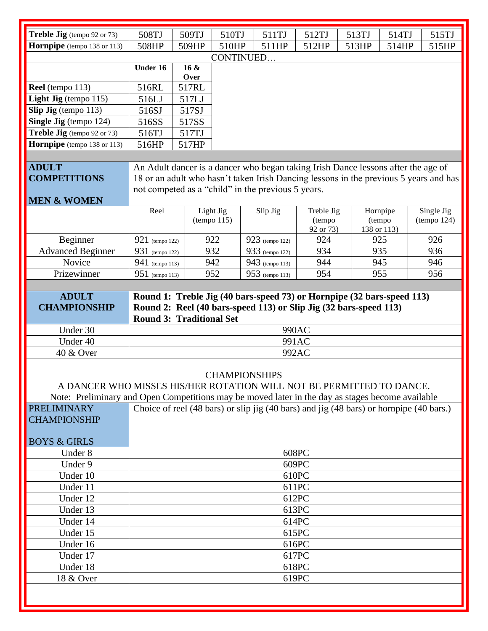| Treble Jig (tempo 92 or 73)                                                                      | 508TJ                                | 509TJ | 510TJ       | 511TJ                                                                                   | 512TJ               | 513TJ | 514TJ                 | 515TJ       |
|--------------------------------------------------------------------------------------------------|--------------------------------------|-------|-------------|-----------------------------------------------------------------------------------------|---------------------|-------|-----------------------|-------------|
| Hornpipe (tempo 138 or 113)                                                                      | 508HP                                | 509HP | 510HP       | 511HP                                                                                   | 512HP               | 513HP | 514HP                 | 515HP       |
|                                                                                                  |                                      |       |             |                                                                                         |                     |       |                       |             |
|                                                                                                  | CONTINUED<br>16 &<br><b>Under 16</b> |       |             |                                                                                         |                     |       |                       |             |
|                                                                                                  |                                      | Over  |             |                                                                                         |                     |       |                       |             |
| Reel (tempo 113)                                                                                 | 516RL                                | 517RL |             |                                                                                         |                     |       |                       |             |
| <b>Light Jig</b> (tempo $115$ )                                                                  | 516LJ                                | 517LJ |             |                                                                                         |                     |       |                       |             |
| Slip Jig (tempo 113)                                                                             | 516SJ                                | 517SJ |             |                                                                                         |                     |       |                       |             |
| Single Jig (tempo 124)                                                                           | 516SS                                | 517SS |             |                                                                                         |                     |       |                       |             |
| Treble Jig (tempo 92 or 73)                                                                      | 516TJ                                | 517TJ |             |                                                                                         |                     |       |                       |             |
| Hornpipe (tempo 138 or 113)                                                                      | 516HP                                | 517HP |             |                                                                                         |                     |       |                       |             |
|                                                                                                  |                                      |       |             |                                                                                         |                     |       |                       |             |
| <b>ADULT</b>                                                                                     |                                      |       |             | An Adult dancer is a dancer who began taking Irish Dance lessons after the age of       |                     |       |                       |             |
| <b>COMPETITIONS</b>                                                                              |                                      |       |             | 18 or an adult who hasn't taken Irish Dancing lessons in the previous 5 years and has   |                     |       |                       |             |
|                                                                                                  |                                      |       |             | not competed as a "child" in the previous 5 years.                                      |                     |       |                       |             |
| <b>MEN &amp; WOMEN</b>                                                                           |                                      |       |             |                                                                                         |                     |       |                       |             |
|                                                                                                  | Reel                                 |       | Light Jig   | Slip Jig                                                                                | Treble Jig          |       | Hornpipe              | Single Jig  |
|                                                                                                  |                                      |       | (tempo 115) |                                                                                         | (tempo<br>92 or 73) |       | (tempo<br>138 or 113) | (tempo 124) |
| Beginner                                                                                         | 921 (tempo 122)                      |       | 922         | 923 (tempo 122)                                                                         | 924                 |       | 925                   | 926         |
| <b>Advanced Beginner</b>                                                                         | 931 (tempo 122)                      |       | 932         | 933 (tempo 122)                                                                         | 934                 |       | 935                   | 936         |
| Novice                                                                                           | 941 (tempo 113)                      |       | 942         | 943 (tempo 113)                                                                         | 944                 |       | 945                   | 946         |
| Prizewinner                                                                                      | $951$ (tempo 113)                    |       | 952         | 953 (tempo 113)                                                                         | 954                 |       | 955                   | 956         |
|                                                                                                  |                                      |       |             |                                                                                         |                     |       |                       |             |
| <b>ADULT</b>                                                                                     |                                      |       |             | Round 1: Treble Jig (40 bars-speed 73) or Hornpipe (32 bars-speed 113)                  |                     |       |                       |             |
| <b>CHAMPIONSHIP</b>                                                                              |                                      |       |             | Round 2: Reel (40 bars-speed 113) or Slip Jig (32 bars-speed 113)                       |                     |       |                       |             |
|                                                                                                  | <b>Round 3: Traditional Set</b>      |       |             |                                                                                         |                     |       |                       |             |
| Under 30                                                                                         |                                      |       |             |                                                                                         | 990AC               |       |                       |             |
| Under 40                                                                                         |                                      |       |             |                                                                                         | 991AC               |       |                       |             |
| 40 & Over                                                                                        |                                      |       |             |                                                                                         | 992AC               |       |                       |             |
|                                                                                                  |                                      |       |             |                                                                                         |                     |       |                       |             |
| <b>CHAMPIONSHIPS</b>                                                                             |                                      |       |             |                                                                                         |                     |       |                       |             |
| A DANCER WHO MISSES HIS/HER ROTATION WILL NOT BE PERMITTED TO DANCE.                             |                                      |       |             |                                                                                         |                     |       |                       |             |
| Note: Preliminary and Open Competitions may be moved later in the day as stages become available |                                      |       |             |                                                                                         |                     |       |                       |             |
| <b>PRELIMINARY</b>                                                                               |                                      |       |             | Choice of reel (48 bars) or slip jig (40 bars) and jig (48 bars) or hornpipe (40 bars.) |                     |       |                       |             |
| <b>CHAMPIONSHIP</b>                                                                              |                                      |       |             |                                                                                         |                     |       |                       |             |
|                                                                                                  |                                      |       |             |                                                                                         |                     |       |                       |             |
| <b>BOYS &amp; GIRLS</b>                                                                          |                                      |       |             |                                                                                         |                     |       |                       |             |
| Under 8                                                                                          |                                      |       |             |                                                                                         | 608PC               |       |                       |             |
| Under 9                                                                                          |                                      |       |             |                                                                                         | 609PC               |       |                       |             |
| Under 10                                                                                         |                                      |       |             |                                                                                         | 610PC               |       |                       |             |
| Under 11                                                                                         | 611PC                                |       |             |                                                                                         |                     |       |                       |             |
| Under 12                                                                                         | 612PC                                |       |             |                                                                                         |                     |       |                       |             |
| Under 13                                                                                         | 613PC                                |       |             |                                                                                         |                     |       |                       |             |
| Under 14                                                                                         | 614PC<br>615PC                       |       |             |                                                                                         |                     |       |                       |             |
| Under 15                                                                                         |                                      |       |             |                                                                                         |                     |       |                       |             |
| Under 16                                                                                         | 616PC                                |       |             |                                                                                         |                     |       |                       |             |
| Under 17                                                                                         | 617PC                                |       |             |                                                                                         |                     |       |                       |             |
| Under 18                                                                                         | 618PC                                |       |             |                                                                                         |                     |       |                       |             |
| 18 & Over                                                                                        | 619PC                                |       |             |                                                                                         |                     |       |                       |             |
|                                                                                                  |                                      |       |             |                                                                                         |                     |       |                       |             |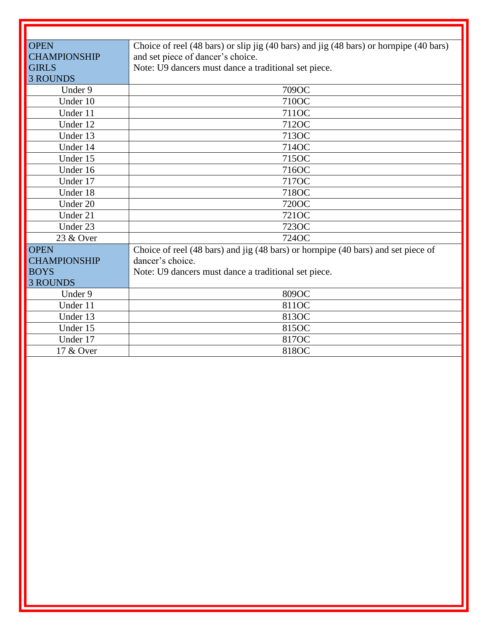| <b>OPEN</b>         | Choice of reel (48 bars) or slip jig (40 bars) and jig (48 bars) or hornpipe (40 bars) |
|---------------------|----------------------------------------------------------------------------------------|
| <b>CHAMPIONSHIP</b> | and set piece of dancer's choice.                                                      |
| <b>GIRLS</b>        | Note: U9 dancers must dance a traditional set piece.                                   |
| <b>3 ROUNDS</b>     |                                                                                        |
| Under 9             | 709OC                                                                                  |
| Under 10            | 710OC                                                                                  |
| Under 11            | 7110C                                                                                  |
| Under 12            | 712OC                                                                                  |
| Under 13            | 713OC                                                                                  |
| Under 14            | 714OC                                                                                  |
| Under 15            | 715OC                                                                                  |
| Under 16            | 716OC                                                                                  |
| Under 17            | 717OC                                                                                  |
| Under 18            | 718OC                                                                                  |
| Under 20            | 720OC                                                                                  |
| Under 21            | 721OC                                                                                  |
| Under 23            | 723OC                                                                                  |
| 23 & Over           | 724OC                                                                                  |
| <b>OPEN</b>         | Choice of reel (48 bars) and jig (48 bars) or hornpipe (40 bars) and set piece of      |
| <b>CHAMPIONSHIP</b> | dancer's choice.                                                                       |
| <b>BOYS</b>         | Note: U9 dancers must dance a traditional set piece.                                   |
| <b>3 ROUNDS</b>     |                                                                                        |
| Under 9             | 809OC                                                                                  |
| Under 11            | 811OC                                                                                  |
| Under 13            | 813OC                                                                                  |
| Under 15            | 815OC                                                                                  |
| Under 17            | 817OC                                                                                  |
| 17 & Over           | 818OC                                                                                  |
|                     |                                                                                        |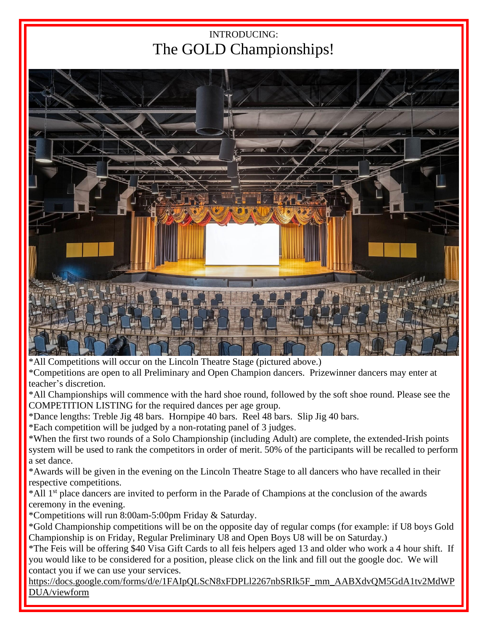## INTRODUCING: The GOLD Championships!



\*All Competitions will occur on the Lincoln Theatre Stage (pictured above.)

\*Competitions are open to all Preliminary and Open Champion dancers. Prizewinner dancers may enter at teacher's discretion.

\*All Championships will commence with the hard shoe round, followed by the soft shoe round. Please see the COMPETITION LISTING for the required dances per age group.

\*Dance lengths: Treble Jig 48 bars. Hornpipe 40 bars. Reel 48 bars. Slip Jig 40 bars.

\*Each competition will be judged by a non-rotating panel of 3 judges.

\*When the first two rounds of a Solo Championship (including Adult) are complete, the extended-Irish points system will be used to rank the competitors in order of merit. 50% of the participants will be recalled to perform a set dance.

\*Awards will be given in the evening on the Lincoln Theatre Stage to all dancers who have recalled in their respective competitions.

\*All 1 st place dancers are invited to perform in the Parade of Champions at the conclusion of the awards ceremony in the evening.

\*Competitions will run 8:00am-5:00pm Friday & Saturday.

\*Gold Championship competitions will be on the opposite day of regular comps (for example: if U8 boys Gold Championship is on Friday, Regular Preliminary U8 and Open Boys U8 will be on Saturday.)

\*The Feis will be offering \$40 Visa Gift Cards to all feis helpers aged 13 and older who work a 4 hour shift. If you would like to be considered for a position, please click on the link and fill out the google doc. We will contact you if we can use your services.

https://docs.google.com/forms/d/e/1FAIpQLScN8xFDPLl2267nbSRIk5F\_mm\_AABXdvQM5GdA1tv2MdWP DUA/viewform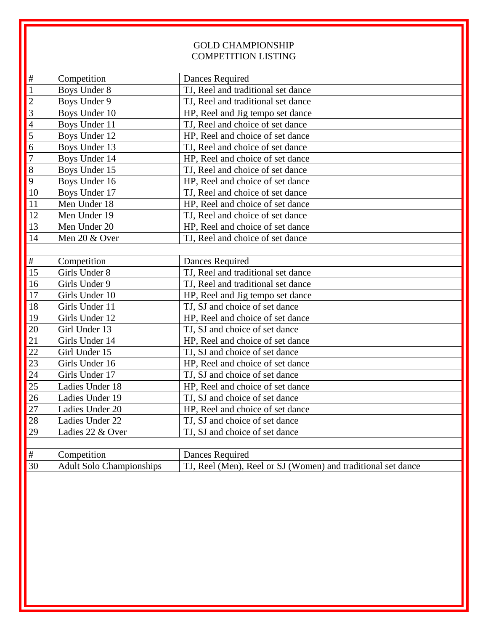### GOLD CHAMPIONSHIP COMPETITION LISTING

| #                                    | Competition                     | Dances Required                                              |
|--------------------------------------|---------------------------------|--------------------------------------------------------------|
| $\overline{1}$                       | <b>Boys Under 8</b>             | TJ, Reel and traditional set dance                           |
|                                      | Boys Under 9                    | TJ, Reel and traditional set dance                           |
| $\frac{2}{3}$                        | Boys Under 10                   | HP, Reel and Jig tempo set dance                             |
| $\overline{4}$                       | Boys Under 11                   | TJ, Reel and choice of set dance                             |
| $\overline{\overline{\overline{5}}}$ | Boys Under 12                   | HP, Reel and choice of set dance                             |
| $\overline{6}$                       | Boys Under 13                   | TJ, Reel and choice of set dance                             |
| $\overline{7}$                       | Boys Under 14                   | HP, Reel and choice of set dance                             |
| $\overline{8}$                       | Boys Under 15                   | TJ, Reel and choice of set dance                             |
| $\overline{9}$                       | Boys Under 16                   | HP, Reel and choice of set dance                             |
| 10                                   | Boys Under 17                   | TJ, Reel and choice of set dance                             |
| 11                                   | Men Under 18                    | HP, Reel and choice of set dance                             |
| 12                                   | Men Under 19                    | TJ, Reel and choice of set dance                             |
| 13                                   | Men Under 20                    | HP, Reel and choice of set dance                             |
| 14                                   | Men 20 & Over                   | TJ, Reel and choice of set dance                             |
|                                      |                                 |                                                              |
| $\#$                                 | Competition                     | Dances Required                                              |
| 15                                   | Girls Under 8                   | TJ, Reel and traditional set dance                           |
| 16                                   | Girls Under 9                   | TJ, Reel and traditional set dance                           |
| 17                                   | Girls Under 10                  | HP, Reel and Jig tempo set dance                             |
| 18                                   | Girls Under 11                  | TJ, SJ and choice of set dance                               |
| 19                                   | Girls Under 12                  | HP, Reel and choice of set dance                             |
| 20                                   | Girl Under 13                   | TJ, SJ and choice of set dance                               |
| 21                                   | Girls Under 14                  | HP, Reel and choice of set dance                             |
| 22                                   | Girl Under 15                   | TJ, SJ and choice of set dance                               |
| 23                                   | Girls Under 16                  | HP, Reel and choice of set dance                             |
| 24                                   | Girls Under 17                  | TJ, SJ and choice of set dance                               |
| 25                                   | Ladies Under 18                 | HP, Reel and choice of set dance                             |
| 26                                   | Ladies Under 19                 | TJ, SJ and choice of set dance                               |
| $\overline{27}$                      | Ladies Under 20                 | HP, Reel and choice of set dance                             |
| 28                                   | Ladies Under 22                 | TJ, SJ and choice of set dance                               |
| 29                                   | Ladies 22 & Over                | TJ, SJ and choice of set dance                               |
|                                      |                                 |                                                              |
| $\#$                                 | Competition                     | <b>Dances Required</b>                                       |
| 30                                   | <b>Adult Solo Championships</b> | TJ, Reel (Men), Reel or SJ (Women) and traditional set dance |
|                                      |                                 |                                                              |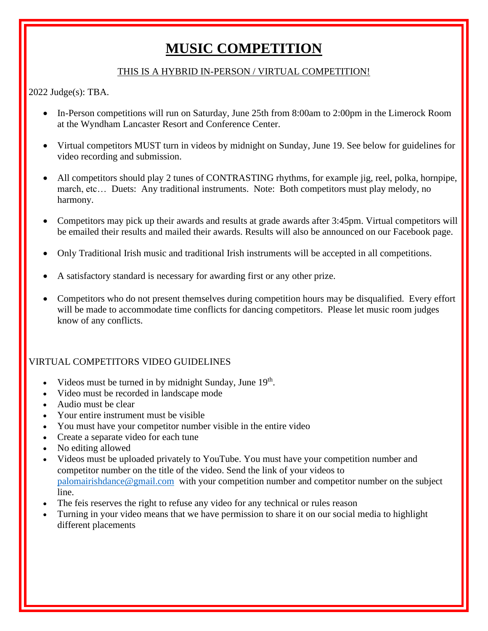# **MUSIC COMPETITION**

### THIS IS A HYBRID IN-PERSON / VIRTUAL COMPETITION!

2022 Judge(s): TBA.

- In-Person competitions will run on Saturday, June 25th from 8:00am to 2:00pm in the Limerock Room at the Wyndham Lancaster Resort and Conference Center.
- Virtual competitors MUST turn in videos by midnight on Sunday, June 19. See below for guidelines for video recording and submission.
- All competitors should play 2 tunes of CONTRASTING rhythms, for example jig, reel, polka, hornpipe, march, etc… Duets: Any traditional instruments. Note: Both competitors must play melody, no harmony.
- Competitors may pick up their awards and results at grade awards after 3:45pm. Virtual competitors will be emailed their results and mailed their awards. Results will also be announced on our Facebook page.
- Only Traditional Irish music and traditional Irish instruments will be accepted in all competitions.
- A satisfactory standard is necessary for awarding first or any other prize.
- Competitors who do not present themselves during competition hours may be disqualified. Every effort will be made to accommodate time conflicts for dancing competitors. Please let music room judges know of any conflicts.

### VIRTUAL COMPETITORS VIDEO GUIDELINES

- Videos must be turned in by midnight Sunday, June  $19<sup>th</sup>$ .
- Video must be recorded in landscape mode
- Audio must be clear
- Your entire instrument must be visible
- You must have your competitor number visible in the entire video
- Create a separate video for each tune
- No editing allowed
- Videos must be uploaded privately to YouTube. You must have your competition number and competitor number on the title of the video. Send the link of your videos to [palomairishdance@gmail.com](mailto:palomairishdance@gmail.com) with your competition number and competitor number on the subject line.
- The feis reserves the right to refuse any video for any technical or rules reason
- Turning in your video means that we have permission to share it on our social media to highlight different placements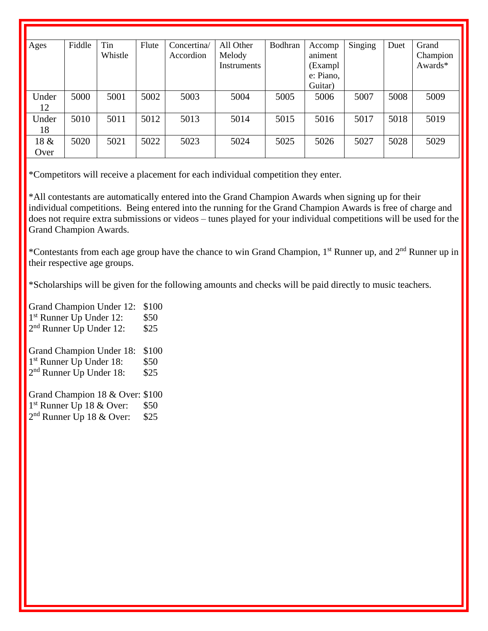| Ages  | Fiddle | Tin     | Flute | Concertina/ | All Other   | Bodhran | Accomp    | Singing | Duet | Grand    |
|-------|--------|---------|-------|-------------|-------------|---------|-----------|---------|------|----------|
|       |        | Whistle |       | Accordion   | Melody      |         | animent   |         |      | Champion |
|       |        |         |       |             | Instruments |         | (Exampl   |         |      | Awards*  |
|       |        |         |       |             |             |         | e: Piano, |         |      |          |
|       |        |         |       |             |             |         | Guitar)   |         |      |          |
| Under | 5000   | 5001    | 5002  | 5003        | 5004        | 5005    | 5006      | 5007    | 5008 | 5009     |
| 12    |        |         |       |             |             |         |           |         |      |          |
| Under | 5010   | 5011    | 5012  | 5013        | 5014        | 5015    | 5016      | 5017    | 5018 | 5019     |
| 18    |        |         |       |             |             |         |           |         |      |          |
| 18 &  | 5020   | 5021    | 5022  | 5023        | 5024        | 5025    | 5026      | 5027    | 5028 | 5029     |
| Over  |        |         |       |             |             |         |           |         |      |          |

\*Competitors will receive a placement for each individual competition they enter.

\*All contestants are automatically entered into the Grand Champion Awards when signing up for their individual competitions. Being entered into the running for the Grand Champion Awards is free of charge and does not require extra submissions or videos – tunes played for your individual competitions will be used for the Grand Champion Awards.

\*Contestants from each age group have the chance to win Grand Champion, 1<sup>st</sup> Runner up, and 2<sup>nd</sup> Runner up in their respective age groups.

\*Scholarships will be given for the following amounts and checks will be paid directly to music teachers.

Grand Champion Under 12: \$100 1 st Runner Up Under 12: \$50 2<sup>nd</sup> Runner Up Under 12: \$25 Grand Champion Under 18: \$100 1<sup>st</sup> Runner Up Under 18: \$50 2<sup>nd</sup> Runner Up Under 18: \$25

Grand Champion 18 & Over: \$100 1 st Runner Up 18 & Over: \$50 2<sup>nd</sup> Runner Up 18 & Over: \$25